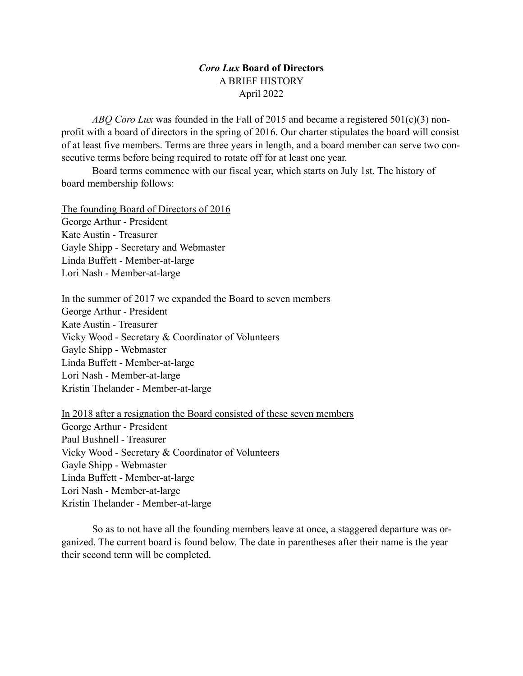## *Coro Lux* **Board of Directors** A BRIEF HISTORY April 2022

*ABQ Coro Lux* was founded in the Fall of 2015 and became a registered 501(c)(3) nonprofit with a board of directors in the spring of 2016. Our charter stipulates the board will consist of at least five members. Terms are three years in length, and a board member can serve two consecutive terms before being required to rotate off for at least one year.

Board terms commence with our fiscal year, which starts on July 1st. The history of board membership follows:

The founding Board of Directors of 2016 George Arthur - President Kate Austin - Treasurer Gayle Shipp - Secretary and Webmaster Linda Buffett - Member-at-large Lori Nash - Member-at-large

In the summer of 2017 we expanded the Board to seven members

George Arthur - President Kate Austin - Treasurer Vicky Wood - Secretary & Coordinator of Volunteers Gayle Shipp - Webmaster Linda Buffett - Member-at-large Lori Nash - Member-at-large Kristin Thelander - Member-at-large

In 2018 after a resignation the Board consisted of these seven members George Arthur - President Paul Bushnell - Treasurer Vicky Wood - Secretary & Coordinator of Volunteers Gayle Shipp - Webmaster Linda Buffett - Member-at-large Lori Nash - Member-at-large Kristin Thelander - Member-at-large

So as to not have all the founding members leave at once, a staggered departure was organized. The current board is found below. The date in parentheses after their name is the year their second term will be completed.